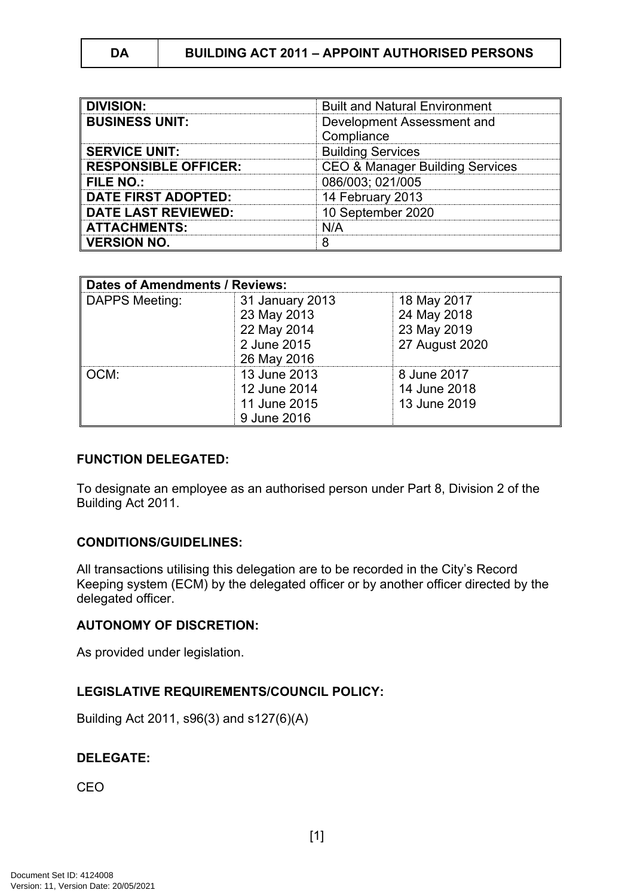| <b>DIVISION:</b>            | <b>Built and Natural Environment</b>       |  |
|-----------------------------|--------------------------------------------|--|
| <b>BUSINESS UNIT:</b>       | Development Assessment and                 |  |
|                             | Compliance                                 |  |
| <b>SERVICE UNIT:</b>        | <b>Building Services</b>                   |  |
| <b>RESPONSIBLE OFFICER:</b> | <b>CEO &amp; Manager Building Services</b> |  |
| <b>FILE NO.:</b>            | 086/003; 021/005                           |  |
| <b>DATE FIRST ADOPTED:</b>  | 14 February 2013                           |  |
| <b>DATE LAST REVIEWED:</b>  | 10 September 2020                          |  |
| <b>ATTACHMENTS:</b>         | N/A                                        |  |
| <b>VERSION NO.</b>          |                                            |  |

| <b>Dates of Amendments / Reviews:</b> |                 |                |
|---------------------------------------|-----------------|----------------|
| DAPPS Meeting:                        | 31 January 2013 | 18 May 2017    |
|                                       | 23 May 2013     | 24 May 2018    |
|                                       | 22 May 2014     | 23 May 2019    |
|                                       | 2 June 2015     | 27 August 2020 |
|                                       | 26 May 2016     |                |
| OCM:                                  | 13 June 2013    | 8 June 2017    |
|                                       | 12 June 2014    | 14 June 2018   |
|                                       | 11 June 2015    | 13 June 2019   |
|                                       | 9 June 2016     |                |

### **FUNCTION DELEGATED:**

To designate an employee as an authorised person under Part 8, Division 2 of the Building Act 2011.

## **CONDITIONS/GUIDELINES:**

All transactions utilising this delegation are to be recorded in the City's Record Keeping system (ECM) by the delegated officer or by another officer directed by the delegated officer.

### **AUTONOMY OF DISCRETION:**

As provided under legislation.

## **LEGISLATIVE REQUIREMENTS/COUNCIL POLICY:**

Building Act 2011, s96(3) and s127(6)(A)

## **DELEGATE:**

CEO